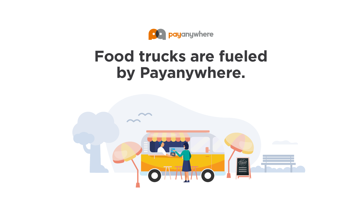

## **Food trucks are fueled by Payanywhere.**

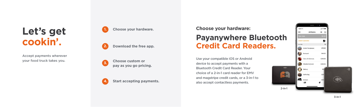Accept payments wherever your food truck takes you.



# **Let's get cookin'.**

**1. Choose your hardware.**

**2. Download the free app.**



**3. Choose custom or pay as you go pricing.** Use your compatible iOS or Android device to accept payments with a Bluetooth Credit Card Reader. Your choice of a 2-in-1 card reader for EMV and magstripe credit cards, or a 3-in-1 to also accept contactless payments.

## **Payanywhere Bluetooth Credit Card Readers.**

**Choose your hardware:**

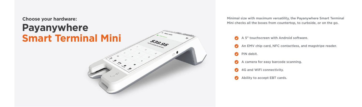

Mini checks all the boxes from countertop, to curbside, or on the go.

- 
- 
- **PIN** debit.
- $\bullet$
- **4G and WiFi connectivity.**
- Ability to accept EBT cards. $\bullet$

A 5" touchscreen with Android software.

An EMV chip card, NFC contactless, and magstripe reader.

A camera for easy barcode scanning.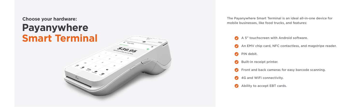# **Payanywhere Smart Terminal**



**Choose your hardware:** The Payanywhere Smart Terminal is an ideal all-in-one device for mobile businesses, like food trucks, and features:

- 
- 
- **PIN** debit.
- Built-in receipt printer.
- 
- 4G and WiFi connectivity.
- Ability to accept EBT cards.

A 5" touchscreen with Android software.

An EMV chip card, NFC contactless, and magstripe reader.

**P** Front and back cameras for easy barcode scanning.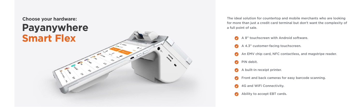

for more than just a credit card terminal but don't want the complexity of a full point of sale.

- $\bullet$
- $\bullet$
- 
- **PIN** debit.
- A built-in receipt printer.  $\bullet$
- 
- **4G and WiFi Connectivity.**
- Ability to accept EBT cards.

A 8" touchscreen with Android software.

A 4.3" customer-facing touchscreen.

An EMV chip card, NFC contactless, and magstripe reader.

**C** Front and back cameras for easy barcode scanning.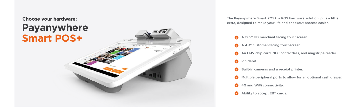# **Payanywhere Smart POS+**

**Pin debit.** 

4G and WiFi connectivity.

Ability to accept EBT cards.

- **Choose your hardware:** The Payanywhere Smart POS+, a POS hardware solution, plus a little extra, designed to make your life and checkout process easier.
	- A 12.5" HD merchant facing touchscreen.
	- A 4.3" customer-facing touchscreen.
	- An EMV chip card, NFC contactless, and magstripe reader.

- Built-in cameras and a receipt printer.
- **Multiple peripheral ports to allow for an optional cash drawer.** 
	-
	-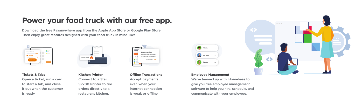



# **Power your food truck with our free app.**

Download the free Payanywhere app from the Apple App Store or Google Play Store. Then enjoy great features designed with your food truck in mind like:

**No connection.**

 $\bullet = \circ$ 

**No thanks Yes** Would you like to process as an offline transaction?



**Kitchen Printer** Connect to a Star SP700 Printer to fire orders directly to a restaurant kitchen.





#### **Employee Management**

We've teamed up with Homebase to give you free employee management software to help you hire, schedule, and communicate with your employees.

3

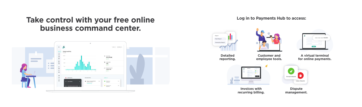## **Take control with your free online business command center.**



### **Log in to Payments Hub to access:**

**Detailed reporting.**